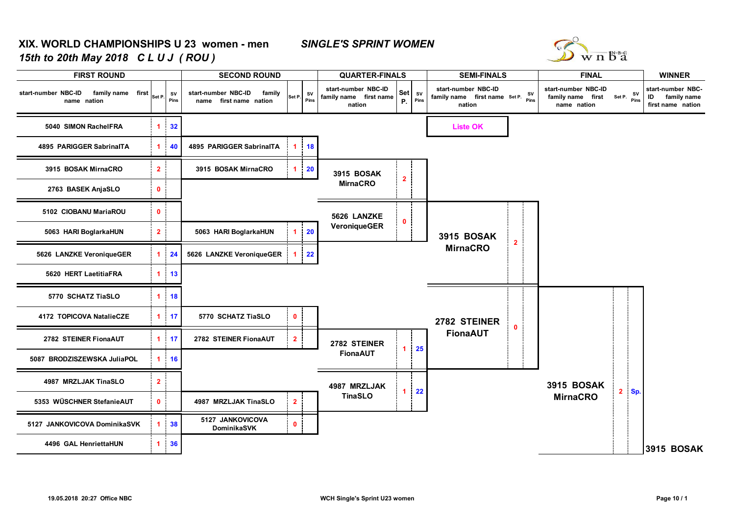## **XIX. WORLD CHAMPIONSHIPS U 23 women - men** *SINGLE'S SPRINT WOMEN15th to 20th May 2018 C L U J ( ROU )*



| <b>FIRST ROUND</b>                                      | <b>SECOND ROUND</b>  | <b>QUARTER-FINALS</b> |                                                         | <b>SEMI-FINALS</b> | <b>FINAL</b> | <b>WINNER</b>                                           |                         |                     |                                                                     |   |                                                                   |       |                                                             |
|---------------------------------------------------------|----------------------|-----------------------|---------------------------------------------------------|--------------------|--------------|---------------------------------------------------------|-------------------------|---------------------|---------------------------------------------------------------------|---|-------------------------------------------------------------------|-------|-------------------------------------------------------------|
| start-number NBC-ID<br>family name first<br>name nation | Set P.               | sv<br>Pins            | start-number NBC-ID<br>family<br>name first name nation | Set P.             | SV<br>Pins   | start-number NBC-ID<br>family name first name<br>nation |                         | Set sv<br>$P.$ Pins | start-number NBC-ID<br>family name first name Set P. Pins<br>nation |   | start-number NBC-ID<br>family name first Set P. SV<br>name nation |       | start-number NBC-<br>ID<br>family name<br>first name nation |
| 5040 SIMON RachelFRA                                    | 1                    | 32                    |                                                         |                    |              |                                                         |                         |                     | <b>Liste OK</b>                                                     |   |                                                                   |       |                                                             |
| 4895 PARIGGER SabrinalTA                                | 1                    | 40                    | 4895 PARIGGER SabrinalTA                                | $\mathbf{1}$       | <b>18</b>    |                                                         |                         |                     |                                                                     |   |                                                                   |       |                                                             |
| 3915 BOSAK MirnaCRO                                     | 2 <sup>1</sup>       |                       | 3915 BOSAK MirnaCRO                                     | $\blacksquare$     | 20           | 3915 BOSAK                                              | $\overline{\mathbf{2}}$ |                     |                                                                     |   |                                                                   |       |                                                             |
| 2763 BASEK AnjaSLO                                      | $\mathbf{0}$         |                       |                                                         |                    |              | <b>MirnaCRO</b>                                         |                         |                     |                                                                     |   |                                                                   |       |                                                             |
| 5102 CIOBANU MariaROU                                   | $\mathbf{0}$         |                       |                                                         |                    |              | 5626 LANZKE                                             | $\mathbf 0$             |                     |                                                                     |   |                                                                   |       |                                                             |
| 5063 HARI BoglarkaHUN                                   | $\overline{2}$       |                       | 5063 HARI BoglarkaHUN                                   | $\mathbf{1}$       | 20           | VeroniqueGER                                            |                         | <b>3915 BOSAK</b>   | $\overline{2}$                                                      |   |                                                                   |       |                                                             |
| 5626 LANZKE VeroniqueGER                                | $\blacktriangleleft$ | 24                    | 5626 LANZKE VeroniqueGER                                | 1.                 | 22           |                                                         |                         |                     | <b>MirnaCRO</b>                                                     |   |                                                                   |       |                                                             |
| 5620 HERT LaetitiaFRA                                   | 1 <sup>1</sup>       | 13                    |                                                         |                    |              |                                                         |                         |                     |                                                                     |   |                                                                   |       |                                                             |
| 5770 SCHATZ TiaSLO                                      | $\blacktriangleleft$ | 18                    |                                                         |                    |              |                                                         |                         |                     |                                                                     |   |                                                                   |       |                                                             |
| 4172 TOPICOVA NatalieCZE                                | $\blacktriangleleft$ | 17                    | 5770 SCHATZ TiaSLO                                      | $\mathbf{0}$       |              |                                                         |                         |                     | 2782 STEINER                                                        | 0 |                                                                   |       |                                                             |
| 2782 STEINER FionaAUT                                   | $\blacktriangleleft$ | 17                    | 2782 STEINER FionaAUT                                   | $\overline{2}$     |              | 2782 STEINER                                            | $1 -$                   | 25                  | <b>FionaAUT</b>                                                     |   |                                                                   |       |                                                             |
| 5087 BRODZISZEWSKA JuliaPOL                             | 1                    | 16                    |                                                         |                    |              | <b>FionaAUT</b>                                         |                         |                     |                                                                     |   |                                                                   |       |                                                             |
| 4987 MRZLJAK TinaSLO                                    | $\overline{2}$       |                       |                                                         |                    |              | 4987 MRZLJAK                                            | $\blacktriangleleft$    | 22                  |                                                                     |   | 3915 BOSAK                                                        | 2 Sp. |                                                             |
| 5353 WÜSCHNER StefanieAUT                               | $\mathbf{0}$         |                       | 4987 MRZLJAK TinaSLO                                    | 2 <sup>7</sup>     |              | <b>TinaSLO</b>                                          |                         |                     |                                                                     |   | <b>MirnaCRO</b>                                                   |       |                                                             |
| 5127 JANKOVICOVA DominikaSVK                            | -1                   | 38                    | 5127 JANKOVICOVA<br><b>DominikaSVK</b>                  | $\mathbf{0}$       |              |                                                         |                         |                     |                                                                     |   |                                                                   |       |                                                             |
| 4496 GAL HenriettaHUN                                   |                      | $1 \quad 36$          |                                                         |                    |              |                                                         |                         |                     |                                                                     |   |                                                                   |       | <b>3915 BOSAK</b>                                           |